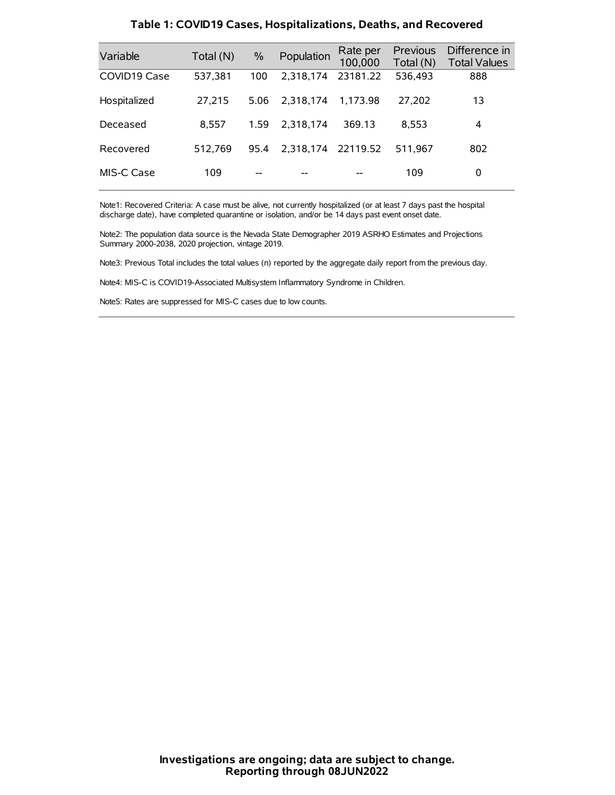| Variable     | Total (N) | $\%$ | Population         | Rate per<br>100,000 | Previous<br>Total (N) | Difference in<br><b>Total Values</b> |
|--------------|-----------|------|--------------------|---------------------|-----------------------|--------------------------------------|
| COVID19 Case | 537,381   | 100  | 2.318.174          | 23181.22            | 536,493               | 888                                  |
| Hospitalized | 27.215    | 5.06 | 2.318.174          | 1.173.98            | 27.202                | 13                                   |
| Deceased     | 8.557     | 1.59 | 2.318.174          | 369.13              | 8.553                 | 4                                    |
| Recovered    | 512.769   | 95.4 | 2,318,174 22119.52 |                     | 511.967               | 802                                  |
| MIS-C Case   | 109       | --   |                    |                     | 109                   | 0                                    |

#### **Table 1: COVID19 Cases, Hospitalizations, Deaths, and Recovered**

Note1: Recovered Criteria: A case must be alive, not currently hospitalized (or at least 7 days past the hospital discharge date), have completed quarantine or isolation, and/or be 14 days past event onset date.

Note2: The population data source is the Nevada State Demographer 2019 ASRHO Estimates and Projections Summary 2000-2038, 2020 projection, vintage 2019.

Note3: Previous Total includes the total values (n) reported by the aggregate daily report from the previous day.

Note4: MIS-C is COVID19-Associated Multisystem Inflammatory Syndrome in Children.

Note5: Rates are suppressed for MIS-C cases due to low counts.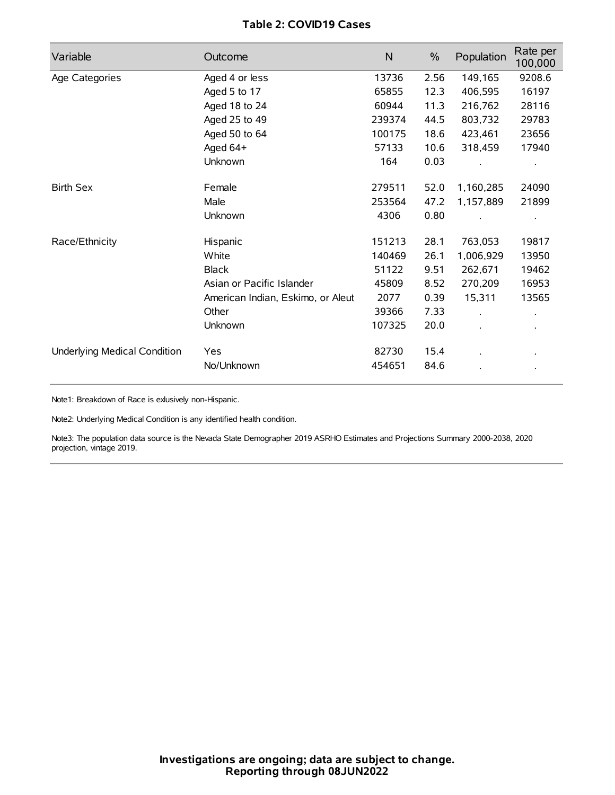# **Table 2: COVID19 Cases**

| Variable                     | Outcome                           | $\mathsf{N}$ | $\%$ | Population | Rate per<br>100,000 |
|------------------------------|-----------------------------------|--------------|------|------------|---------------------|
| Age Categories               | Aged 4 or less                    | 13736        | 2.56 | 149,165    | 9208.6              |
|                              | Aged 5 to 17                      | 65855        | 12.3 | 406,595    | 16197               |
|                              | Aged 18 to 24                     | 60944        | 11.3 | 216,762    | 28116               |
|                              | Aged 25 to 49                     | 239374       | 44.5 | 803,732    | 29783               |
|                              | Aged 50 to 64                     | 100175       | 18.6 | 423,461    | 23656               |
|                              | Aged 64+                          | 57133        | 10.6 | 318,459    | 17940               |
|                              | Unknown                           | 164          | 0.03 |            |                     |
| <b>Birth Sex</b>             | Female                            | 279511       | 52.0 | 1,160,285  | 24090               |
|                              | Male                              | 253564       | 47.2 | 1,157,889  | 21899               |
|                              | Unknown                           | 4306         | 0.80 |            |                     |
| Race/Ethnicity               | Hispanic                          | 151213       | 28.1 | 763,053    | 19817               |
|                              | White                             | 140469       | 26.1 | 1,006,929  | 13950               |
|                              | <b>Black</b>                      | 51122        | 9.51 | 262,671    | 19462               |
|                              | Asian or Pacific Islander         | 45809        | 8.52 | 270,209    | 16953               |
|                              | American Indian, Eskimo, or Aleut | 2077         | 0.39 | 15,311     | 13565               |
|                              | Other                             | 39366        | 7.33 |            |                     |
|                              | <b>Unknown</b>                    | 107325       | 20.0 | $\cdot$    |                     |
| Underlying Medical Condition | Yes                               | 82730        | 15.4 |            |                     |
|                              | No/Unknown                        | 454651       | 84.6 |            |                     |

Note1: Breakdown of Race is exlusively non-Hispanic.

Note2: Underlying Medical Condition is any identified health condition.

Note3: The population data source is the Nevada State Demographer 2019 ASRHO Estimates and Projections Summary 2000-2038, 2020 projection, vintage 2019.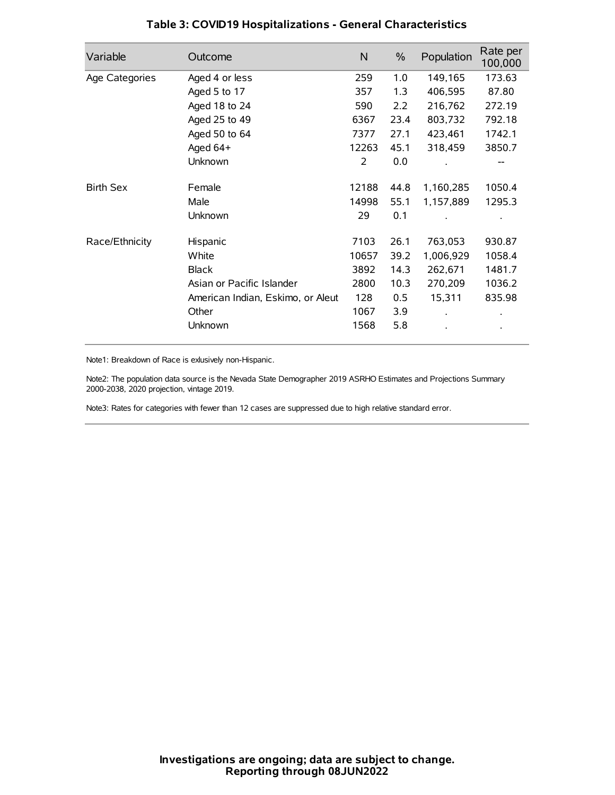| Variable         | Outcome                           | $\mathsf{N}$ | $\%$ | Population | Rate per<br>100,000 |
|------------------|-----------------------------------|--------------|------|------------|---------------------|
| Age Categories   | Aged 4 or less                    | 259          | 1.0  | 149,165    | 173.63              |
|                  | Aged 5 to 17                      | 357          | 1.3  | 406,595    | 87.80               |
|                  | Aged 18 to 24                     | 590          | 2.2  | 216,762    | 272.19              |
|                  | Aged 25 to 49                     | 6367         | 23.4 | 803,732    | 792.18              |
|                  | Aged 50 to 64                     | 7377         | 27.1 | 423,461    | 1742.1              |
|                  | Aged $64+$                        | 12263        | 45.1 | 318,459    | 3850.7              |
|                  | Unknown                           | 2            | 0.0  |            |                     |
| <b>Birth Sex</b> | Female                            | 12188        | 44.8 | 1,160,285  | 1050.4              |
|                  | Male                              | 14998        | 55.1 | 1,157,889  | 1295.3              |
|                  | Unknown                           | 29           | 0.1  |            |                     |
| Race/Ethnicity   | Hispanic                          | 7103         | 26.1 | 763,053    | 930.87              |
|                  | White                             | 10657        | 39.2 | 1,006,929  | 1058.4              |
|                  | <b>Black</b>                      | 3892         | 14.3 | 262,671    | 1481.7              |
|                  | Asian or Pacific Islander         | 2800         | 10.3 | 270,209    | 1036.2              |
|                  | American Indian, Eskimo, or Aleut | 128          | 0.5  | 15,311     | 835.98              |
|                  | Other                             | 1067         | 3.9  |            |                     |
|                  | Unknown                           | 1568         | 5.8  |            |                     |

# **Table 3: COVID19 Hospitalizations - General Characteristics**

Note1: Breakdown of Race is exlusively non-Hispanic.

Note2: The population data source is the Nevada State Demographer 2019 ASRHO Estimates and Projections Summary 2000-2038, 2020 projection, vintage 2019.

Note3: Rates for categories with fewer than 12 cases are suppressed due to high relative standard error.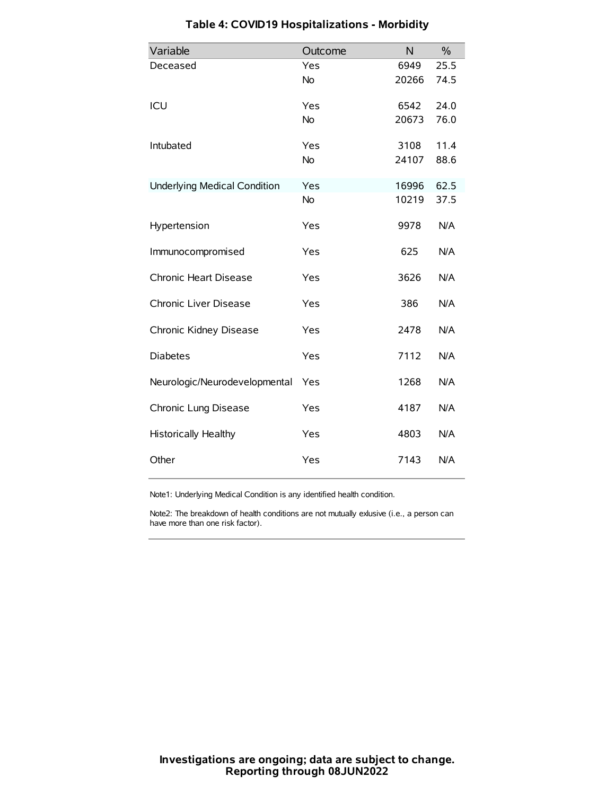| Variable                            | Outcome   | N     | $\frac{0}{0}$ |
|-------------------------------------|-----------|-------|---------------|
| Deceased                            | Yes       | 6949  | 25.5          |
|                                     | No        | 20266 | 74.5          |
| ICU                                 | Yes       | 6542  | 24.0          |
|                                     | <b>No</b> | 20673 | 76.0          |
| Intubated                           | Yes       | 3108  | 11.4          |
|                                     | No        | 24107 | 88.6          |
| <b>Underlying Medical Condition</b> | Yes       | 16996 | 62.5          |
|                                     | <b>No</b> | 10219 | 37.5          |
| Hypertension                        | Yes       | 9978  | N/A           |
| Immunocompromised                   | Yes       | 625   | N/A           |
| Chronic Heart Disease               | Yes       | 3626  | N/A           |
| Chronic Liver Disease               | Yes       | 386   | N/A           |
| Chronic Kidney Disease              | Yes       | 2478  | N/A           |
| <b>Diabetes</b>                     | Yes       | 7112  | N/A           |
| Neurologic/Neurodevelopmental       | Yes       | 1268  | N/A           |
| Chronic Lung Disease                | Yes       | 4187  | N/A           |
| Historically Healthy                | Yes       | 4803  | N/A           |
| Other                               | Yes       | 7143  | N/A           |

# **Table 4: COVID19 Hospitalizations - Morbidity**

Note1: Underlying Medical Condition is any identified health condition.

Note2: The breakdown of health conditions are not mutually exlusive (i.e., a person can have more than one risk factor).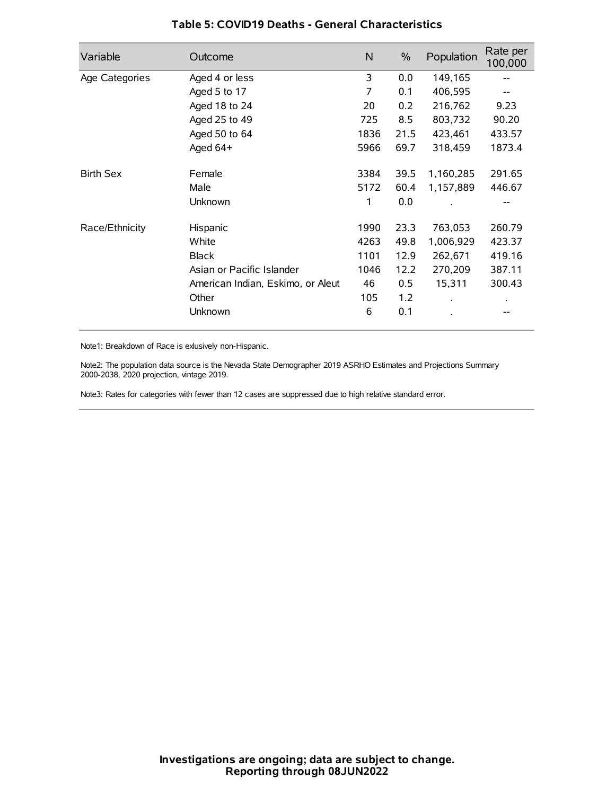| Variable         | Outcome                           | N    | $\frac{0}{0}$ | Population | Rate per<br>100,000 |
|------------------|-----------------------------------|------|---------------|------------|---------------------|
| Age Categories   | Aged 4 or less                    | 3    | 0.0           | 149,165    |                     |
|                  | Aged 5 to 17                      | 7    | 0.1           | 406,595    |                     |
|                  | Aged 18 to 24                     | 20   | 0.2           | 216,762    | 9.23                |
|                  | Aged 25 to 49                     | 725  | 8.5           | 803,732    | 90.20               |
|                  | Aged 50 to 64                     | 1836 | 21.5          | 423,461    | 433.57              |
|                  | Aged $64+$                        | 5966 | 69.7          | 318,459    | 1873.4              |
| <b>Birth Sex</b> | Female                            | 3384 | 39.5          | 1,160,285  | 291.65              |
|                  | Male                              | 5172 | 60.4          | 1,157,889  | 446.67              |
|                  | Unknown                           | 1    | 0.0           |            |                     |
| Race/Ethnicity   | Hispanic                          | 1990 | 23.3          | 763,053    | 260.79              |
|                  | White                             | 4263 | 49.8          | 1,006,929  | 423.37              |
|                  | <b>Black</b>                      | 1101 | 12.9          | 262,671    | 419.16              |
|                  | Asian or Pacific Islander         | 1046 | 12.2          | 270,209    | 387.11              |
|                  | American Indian, Eskimo, or Aleut | 46   | 0.5           | 15,311     | 300.43              |
|                  | Other                             | 105  | 1.2           |            |                     |
|                  | Unknown                           | 6    | 0.1           |            |                     |

## **Table 5: COVID19 Deaths - General Characteristics**

Note1: Breakdown of Race is exlusively non-Hispanic.

Note2: The population data source is the Nevada State Demographer 2019 ASRHO Estimates and Projections Summary 2000-2038, 2020 projection, vintage 2019.

Note3: Rates for categories with fewer than 12 cases are suppressed due to high relative standard error.